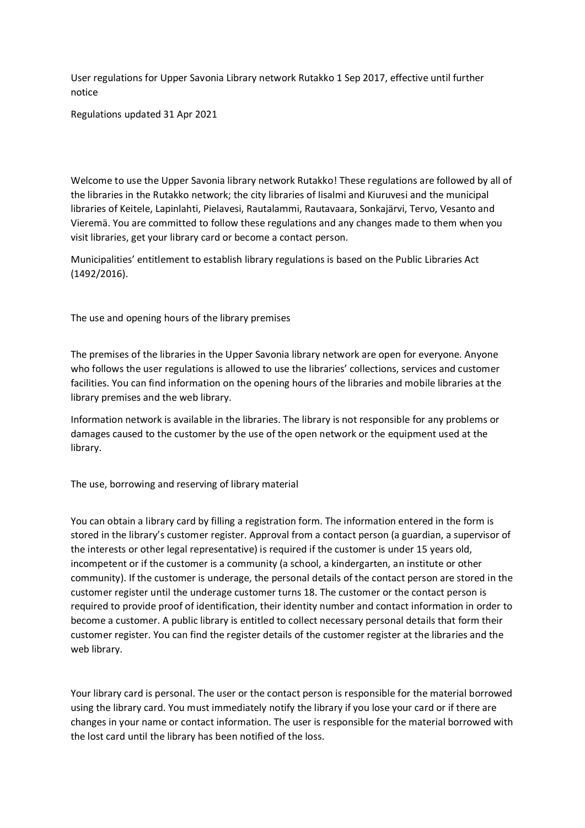User regulations for Upper Savonia Library network Rutakko 1 Sep 2017, effective until further notice

Regulations updated 31 Apr 2021

Welcome to use the Upper Savonia library network Rutakko! These regulations are followed by all of the libraries in the Rutakko network; the city libraries of Iisalmi and Kiuruvesi and the municipal libraries of Keitele, Lapinlahti, Pielavesi, Rautalammi, Rautavaara, Sonkajärvi, Tervo, Vesanto and Vieremä. You are committed to follow these regulations and any changes made to them when you visit libraries, get your library card or become a contact person.

Municipalities' entitlement to establish library regulations is based on the Public Libraries Act (1492/2016).

The use and opening hours of the library premises

The premises of the libraries in the Upper Savonia library network are open for everyone. Anyone who follows the user regulations is allowed to use the libraries' collections, services and customer facilities. You can find information on the opening hours of the libraries and mobile libraries at the library premises and the web library.

Information network is available in the libraries. The library is not responsible for any problems or damages caused to the customer by the use of the open network or the equipment used at the library.

The use, borrowing and reserving of library material

You can obtain a library card by filling a registration form. The information entered in the form is stored in the library's customer register. Approval from a contact person (a guardian, a supervisor of the interests or other legal representative) is required if the customer is under 15 years old, incompetent or if the customer is a community (a school, a kindergarten, an institute or other community). If the customer is underage, the personal details of the contact person are stored in the customer register until the underage customer turns 18. The customer or the contact person is required to provide proof of identification, their identity number and contact information in order to become a customer. A public library is entitled to collect necessary personal details that form their customer register. You can find the register details of the customer register at the libraries and the web library.

Your library card is personal. The user or the contact person is responsible for the material borrowed using the library card. You must immediately notify the library if you lose your card or if there are changes in your name or contact information. The user is responsible for the material borrowed with the lost card until the library has been notified of the loss.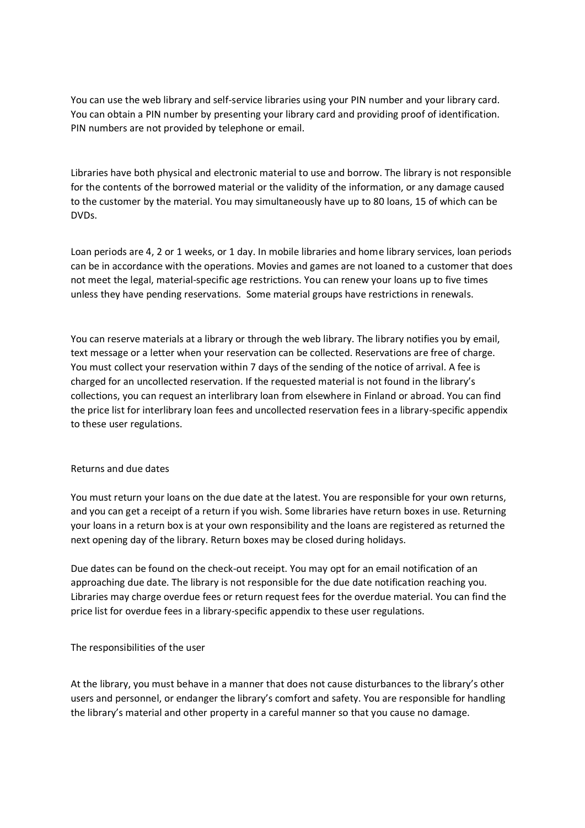You can use the web library and self-service libraries using your PIN number and your library card. You can obtain a PIN number by presenting your library card and providing proof of identification. PIN numbers are not provided by telephone or email.

Libraries have both physical and electronic material to use and borrow. The library is not responsible for the contents of the borrowed material or the validity of the information, or any damage caused to the customer by the material. You may simultaneously have up to 80 loans, 15 of which can be DVDs.

Loan periods are 4, 2 or 1 weeks, or 1 day. In mobile libraries and home library services, loan periods can be in accordance with the operations. Movies and games are not loaned to a customer that does not meet the legal, material-specific age restrictions. You can renew your loans up to five times unless they have pending reservations. Some material groups have restrictions in renewals.

You can reserve materials at a library or through the web library. The library notifies you by email, text message or a letter when your reservation can be collected. Reservations are free of charge. You must collect your reservation within 7 days of the sending of the notice of arrival. A fee is charged for an uncollected reservation. If the requested material is not found in the library's collections, you can request an interlibrary loan from elsewhere in Finland or abroad. You can find the price list for interlibrary loan fees and uncollected reservation fees in a library-specific appendix to these user regulations.

### Returns and due dates

You must return your loans on the due date at the latest. You are responsible for your own returns, and you can get a receipt of a return if you wish. Some libraries have return boxes in use. Returning your loans in a return box is at your own responsibility and the loans are registered as returned the next opening day of the library. Return boxes may be closed during holidays.

Due dates can be found on the check-out receipt. You may opt for an email notification of an approaching due date. The library is not responsible for the due date notification reaching you. Libraries may charge overdue fees or return request fees for the overdue material. You can find the price list for overdue fees in a library-specific appendix to these user regulations.

#### The responsibilities of the user

At the library, you must behave in a manner that does not cause disturbances to the library's other users and personnel, or endanger the library's comfort and safety. You are responsible for handling the library's material and other property in a careful manner so that you cause no damage.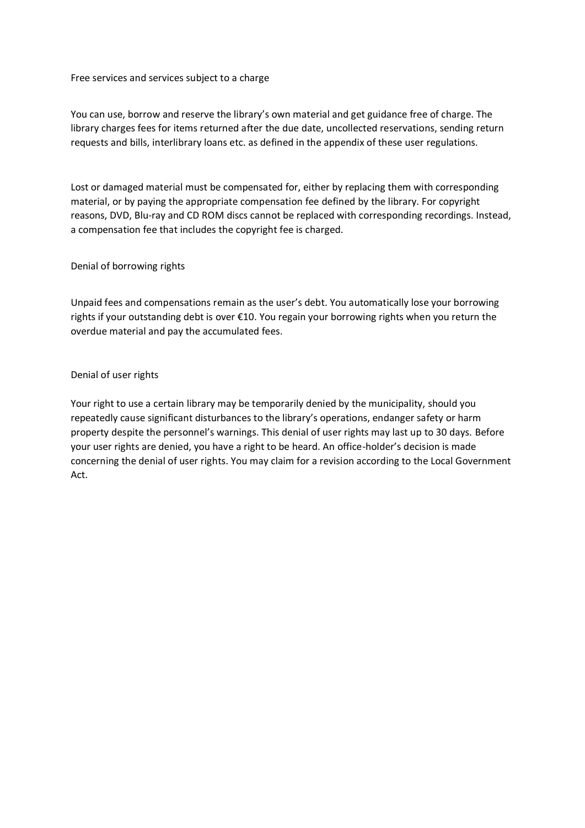Free services and services subject to a charge

You can use, borrow and reserve the library's own material and get guidance free of charge. The library charges fees for items returned after the due date, uncollected reservations, sending return requests and bills, interlibrary loans etc. as defined in the appendix of these user regulations.

Lost or damaged material must be compensated for, either by replacing them with corresponding material, or by paying the appropriate compensation fee defined by the library. For copyright reasons, DVD, Blu-ray and CD ROM discs cannot be replaced with corresponding recordings. Instead, a compensation fee that includes the copyright fee is charged.

Denial of borrowing rights

Unpaid fees and compensations remain as the user's debt. You automatically lose your borrowing rights if your outstanding debt is over €10. You regain your borrowing rights when you return the overdue material and pay the accumulated fees.

#### Denial of user rights

Your right to use a certain library may be temporarily denied by the municipality, should you repeatedly cause significant disturbances to the library's operations, endanger safety or harm property despite the personnel's warnings. This denial of user rights may last up to 30 days. Before your user rights are denied, you have a right to be heard. An office-holder's decision is made concerning the denial of user rights. You may claim for a revision according to the Local Government Act.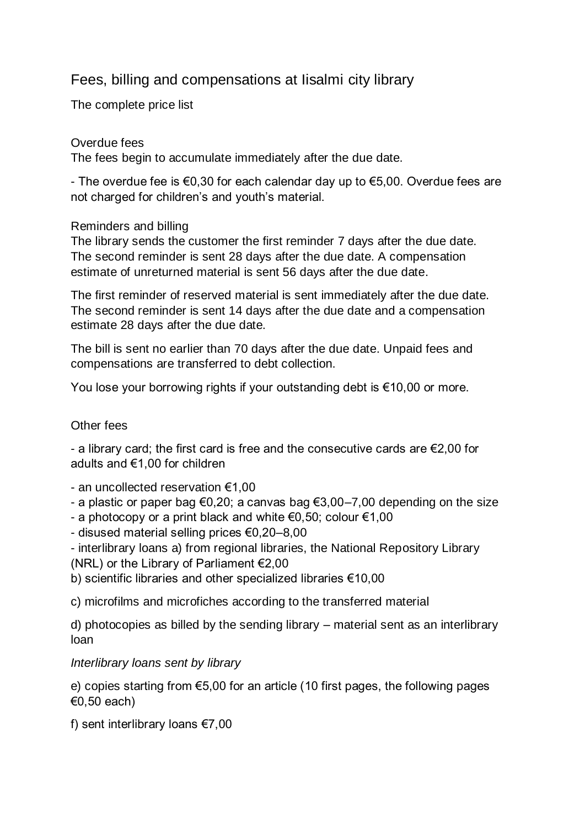# Fees, billing and compensations at Iisalmi city library

The complete price list

### Overdue fees

The fees begin to accumulate immediately after the due date.

- The overdue fee is €0,30 for each calendar day up to €5,00. Overdue fees are not charged for children's and youth's material.

### Reminders and billing

The library sends the customer the first reminder 7 days after the due date. The second reminder is sent 28 days after the due date. A compensation estimate of unreturned material is sent 56 days after the due date.

The first reminder of reserved material is sent immediately after the due date. The second reminder is sent 14 days after the due date and a compensation estimate 28 days after the due date.

The bill is sent no earlier than 70 days after the due date. Unpaid fees and compensations are transferred to debt collection.

You lose your borrowing rights if your outstanding debt is €10,00 or more.

# Other fees

- a library card; the first card is free and the consecutive cards are €2,00 for adults and €1,00 for children

- an uncollected reservation €1,00
- a plastic or paper bag  $\epsilon 0.20$ ; a canvas bag  $\epsilon 3.00-7.00$  depending on the size
- a photocopy or a print black and white  $\epsilon$ 0,50; colour  $\epsilon$ 1,00
- disused material selling prices €0,20–8,00
- interlibrary loans a) from regional libraries, the National Repository Library (NRL) or the Library of Parliament  $E$ ,00
- b) scientific libraries and other specialized libraries €10,00

c) microfilms and microfiches according to the transferred material

d) photocopies as billed by the sending library – material sent as an interlibrary loan

# *Interlibrary loans sent by library*

e) copies starting from €5,00 for an article (10 first pages, the following pages €0,50 each)

f) sent interlibrary loans €7,00